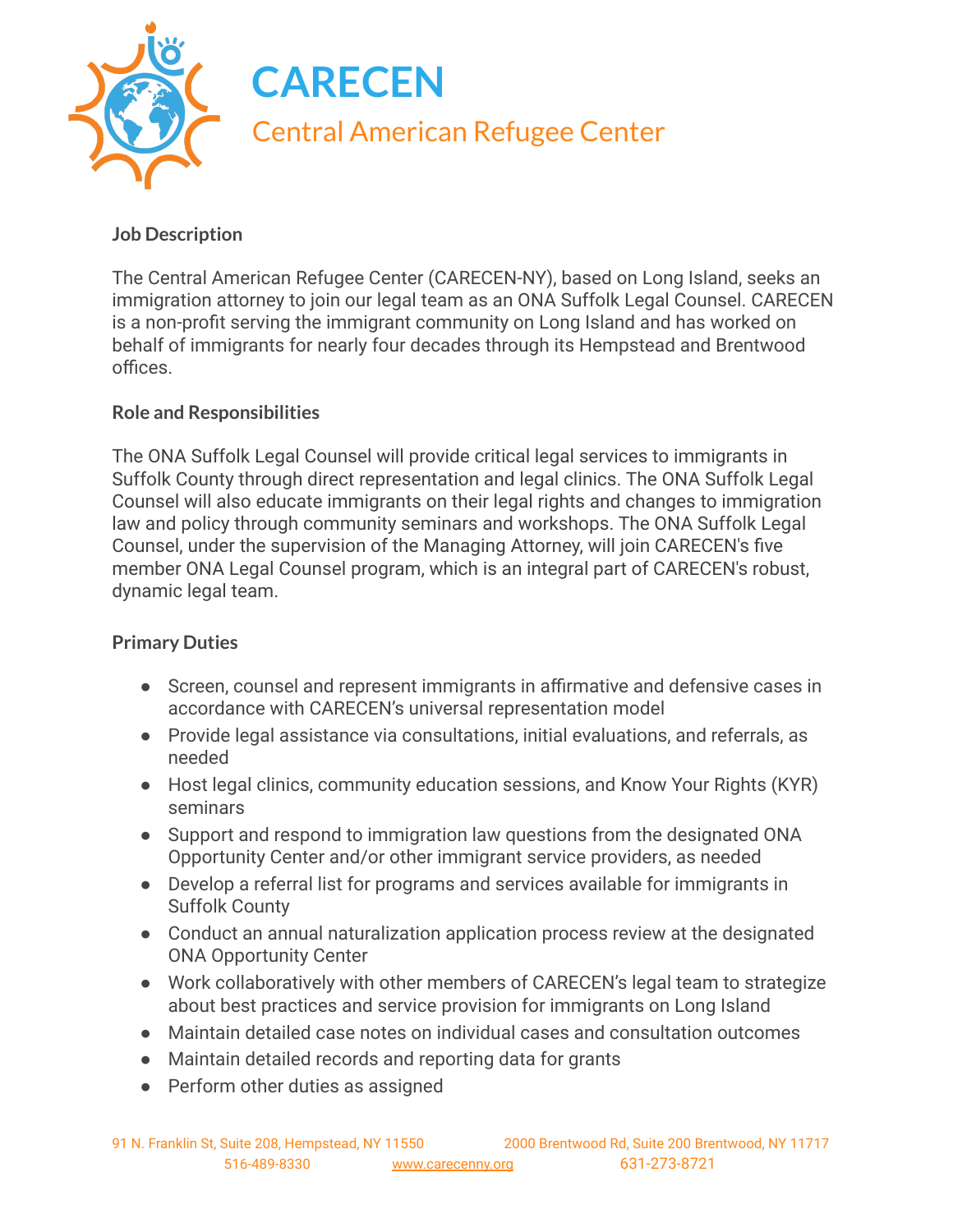

## **Job Description**

The Central American Refugee Center (CARECEN-NY), based on Long Island, seeks an immigration attorney to join our legal team as an ONA Suffolk Legal Counsel. CARECEN is a non-profit serving the immigrant community on Long Island and has worked on behalf of immigrants for nearly four decades through its Hempstead and Brentwood offices.

## **Role and Responsibilities**

The ONA Suffolk Legal Counsel will provide critical legal services to immigrants in Suffolk County through direct representation and legal clinics. The ONA Suffolk Legal Counsel will also educate immigrants on their legal rights and changes to immigration law and policy through community seminars and workshops. The ONA Suffolk Legal Counsel, under the supervision of the Managing Attorney, will join CARECEN's five member ONA Legal Counsel program, which is an integral part of CARECEN's robust, dynamic legal team.

## **Primary Duties**

- Screen, counsel and represent immigrants in affirmative and defensive cases in accordance with CARECEN's universal representation model
- Provide legal assistance via consultations, initial evaluations, and referrals, as needed
- Host legal clinics, community education sessions, and Know Your Rights (KYR) seminars
- Support and respond to immigration law questions from the designated ONA Opportunity Center and/or other immigrant service providers, as needed
- Develop a referral list for programs and services available for immigrants in Suffolk County
- Conduct an annual naturalization application process review at the designated ONA Opportunity Center
- Work collaboratively with other members of CARECEN's legal team to strategize about best practices and service provision for immigrants on Long Island
- Maintain detailed case notes on individual cases and consultation outcomes
- Maintain detailed records and reporting data for grants
- Perform other duties as assigned